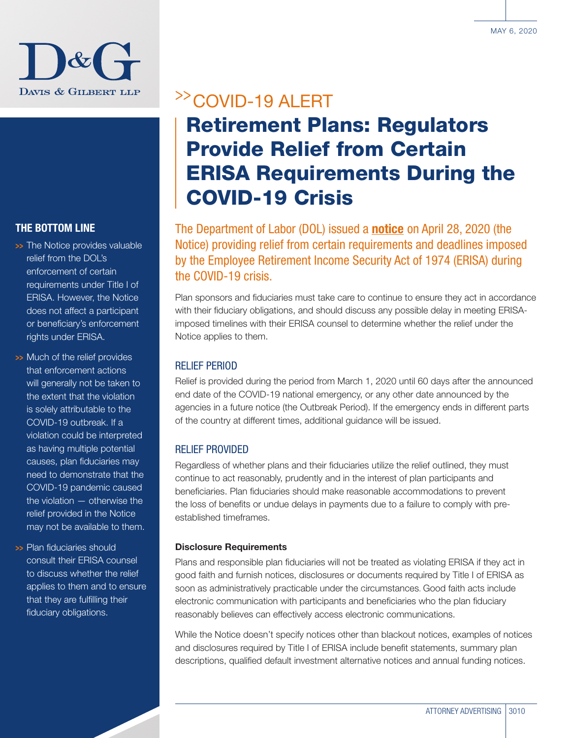

### THE BOTTOM LINE

- >> The Notice provides valuable relief from the DOL's enforcement of certain requirements under Title I of ERISA. However, the Notice does not affect a participant or beneficiary's enforcement rights under ERISA.
- >> Much of the relief provides that enforcement actions will generally not be taken to the extent that the violation is solely attributable to the COVID-19 outbreak. If a violation could be interpreted as having multiple potential causes, plan fiduciaries may need to demonstrate that the COVID-19 pandemic caused the violation — otherwise the relief provided in the Notice may not be available to them.
- >>> Plan fiduciaries should consult their ERISA counsel to discuss whether the relief applies to them and to ensure that they are fulfilling their fiduciary obligations.

## >>COVID-19 ALERT

# Retirement Plans: Regulators Provide Relief from Certain ERISA Requirements During the COVID-19 Crisis

The Department of Labor (DOL) issued a **[notice](https://www.dol.gov/agencies/ebsa/employers-and-advisers/plan-administration-and-compliance/disaster-relief/ebsa-disaster-relief-notice-2020-01)** on April 28, 2020 (the Notice) providing relief from certain requirements and deadlines imposed by the Employee Retirement Income Security Act of 1974 (ERISA) during the COVID-19 crisis.

Plan sponsors and fiduciaries must take care to continue to ensure they act in accordance with their fiduciary obligations, and should discuss any possible delay in meeting ERISAimposed timelines with their ERISA counsel to determine whether the relief under the Notice applies to them.

### RELIEF PERIOD

Relief is provided during the period from March 1, 2020 until 60 days after the announced end date of the COVID-19 national emergency, or any other date announced by the agencies in a future notice (the Outbreak Period). If the emergency ends in different parts of the country at different times, additional guidance will be issued.

### RELIEF PROVIDED

Regardless of whether plans and their fiduciaries utilize the relief outlined, they must continue to act reasonably, prudently and in the interest of plan participants and beneficiaries. Plan fiduciaries should make reasonable accommodations to prevent the loss of benefits or undue delays in payments due to a failure to comply with preestablished timeframes.

### Disclosure Requirements

Plans and responsible plan fiduciaries will not be treated as violating ERISA if they act in good faith and furnish notices, disclosures or documents required by Title I of ERISA as soon as administratively practicable under the circumstances. Good faith acts include electronic communication with participants and beneficiaries who the plan fiduciary reasonably believes can effectively access electronic communications.

While the Notice doesn't specify notices other than blackout notices, examples of notices and disclosures required by Title I of ERISA include benefit statements, summary plan descriptions, qualified default investment alternative notices and annual funding notices.